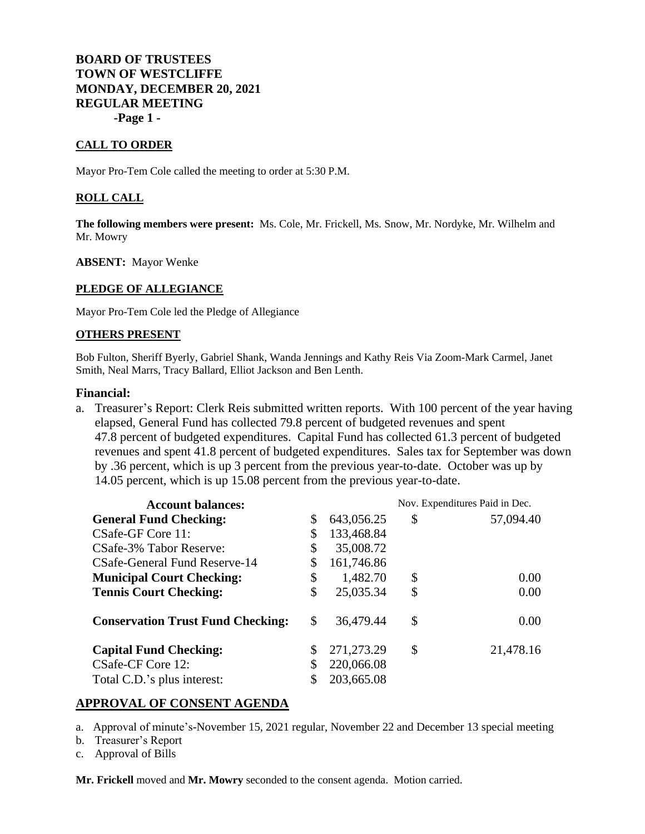# **BOARD OF TRUSTEES TOWN OF WESTCLIFFE MONDAY, DECEMBER 20, 2021 REGULAR MEETING -Page 1 -**

### **CALL TO ORDER**

Mayor Pro-Tem Cole called the meeting to order at 5:30 P.M.

#### **ROLL CALL**

**The following members were present:** Ms. Cole, Mr. Frickell, Ms. Snow, Mr. Nordyke, Mr. Wilhelm and Mr. Mowry

**ABSENT:** Mayor Wenke

#### **PLEDGE OF ALLEGIANCE**

Mayor Pro-Tem Cole led the Pledge of Allegiance

#### **OTHERS PRESENT**

Bob Fulton, Sheriff Byerly, Gabriel Shank, Wanda Jennings and Kathy Reis Via Zoom-Mark Carmel, Janet Smith, Neal Marrs, Tracy Ballard, Elliot Jackson and Ben Lenth.

#### **Financial:**

a. Treasurer's Report: Clerk Reis submitted written reports. With 100 percent of the year having elapsed, General Fund has collected 79.8 percent of budgeted revenues and spent 47.8 percent of budgeted expenditures. Capital Fund has collected 61.3 percent of budgeted revenues and spent 41.8 percent of budgeted expenditures. Sales tax for September was down by .36 percent, which is up 3 percent from the previous year-to-date. October was up by 14.05 percent, which is up 15.08 percent from the previous year-to-date.

| <b>Account balances:</b>                 |    |            | Nov. Expenditures Paid in Dec. |           |
|------------------------------------------|----|------------|--------------------------------|-----------|
| <b>General Fund Checking:</b>            | \$ | 643,056.25 | \$                             | 57,094.40 |
| CSafe-GF Core 11:                        | \$ | 133,468.84 |                                |           |
| CSafe-3% Tabor Reserve:                  | \$ | 35,008.72  |                                |           |
| CSafe-General Fund Reserve-14            | \$ | 161,746.86 |                                |           |
| <b>Municipal Court Checking:</b>         | \$ | 1,482.70   | \$                             | 0.00      |
| <b>Tennis Court Checking:</b>            | \$ | 25,035.34  | \$                             | 0.00      |
| <b>Conservation Trust Fund Checking:</b> | \$ | 36,479.44  | \$                             | 0.00      |
| <b>Capital Fund Checking:</b>            | \$ | 271,273.29 | \$                             | 21,478.16 |
| CSafe-CF Core 12:                        |    | 220,066.08 |                                |           |
| Total C.D.'s plus interest:              |    | 203,665.08 |                                |           |

### **APPROVAL OF CONSENT AGENDA**

a. Approval of minute's-November 15, 2021 regular, November 22 and December 13 special meeting

b. Treasurer's Report

c. Approval of Bills

**Mr. Frickell** moved and **Mr. Mowry** seconded to the consent agenda. Motion carried.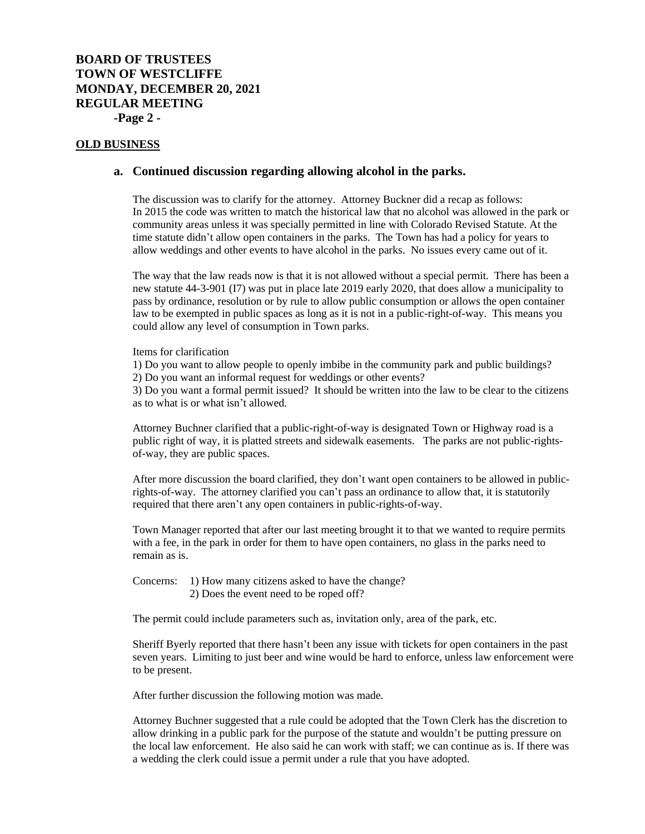# **BOARD OF TRUSTEES TOWN OF WESTCLIFFE MONDAY, DECEMBER 20, 2021 REGULAR MEETING -Page 2 -**

#### **OLD BUSINESS**

#### **a. Continued discussion regarding allowing alcohol in the parks.**

The discussion was to clarify for the attorney. Attorney Buckner did a recap as follows: In 2015 the code was written to match the historical law that no alcohol was allowed in the park or community areas unless it was specially permitted in line with Colorado Revised Statute. At the time statute didn't allow open containers in the parks. The Town has had a policy for years to allow weddings and other events to have alcohol in the parks. No issues every came out of it.

The way that the law reads now is that it is not allowed without a special permit. There has been a new statute 44-3-901 (I7) was put in place late 2019 early 2020, that does allow a municipality to pass by ordinance, resolution or by rule to allow public consumption or allows the open container law to be exempted in public spaces as long as it is not in a public-right-of-way. This means you could allow any level of consumption in Town parks.

Items for clarification

1) Do you want to allow people to openly imbibe in the community park and public buildings?

2) Do you want an informal request for weddings or other events?

3) Do you want a formal permit issued? It should be written into the law to be clear to the citizens as to what is or what isn't allowed.

Attorney Buchner clarified that a public-right-of-way is designated Town or Highway road is a public right of way, it is platted streets and sidewalk easements. The parks are not public-rightsof-way, they are public spaces.

After more discussion the board clarified, they don't want open containers to be allowed in publicrights-of-way. The attorney clarified you can't pass an ordinance to allow that, it is statutorily required that there aren't any open containers in public-rights-of-way.

Town Manager reported that after our last meeting brought it to that we wanted to require permits with a fee, in the park in order for them to have open containers, no glass in the parks need to remain as is.

Concerns: 1) How many citizens asked to have the change? 2) Does the event need to be roped off?

The permit could include parameters such as, invitation only, area of the park, etc.

Sheriff Byerly reported that there hasn't been any issue with tickets for open containers in the past seven years. Limiting to just beer and wine would be hard to enforce, unless law enforcement were to be present.

After further discussion the following motion was made.

Attorney Buchner suggested that a rule could be adopted that the Town Clerk has the discretion to allow drinking in a public park for the purpose of the statute and wouldn't be putting pressure on the local law enforcement. He also said he can work with staff; we can continue as is. If there was a wedding the clerk could issue a permit under a rule that you have adopted.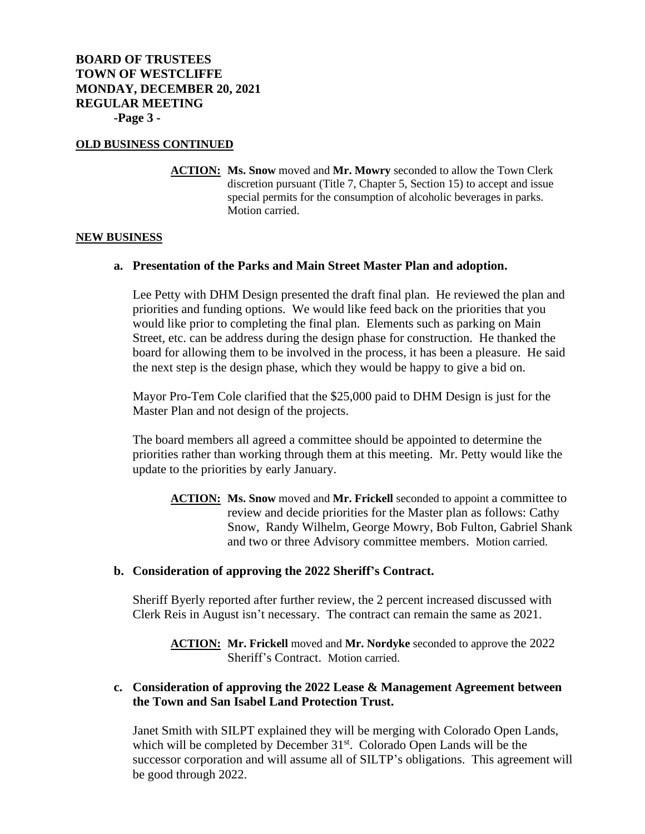## **OLD BUSINESS CONTINUED**

**ACTION: Ms. Snow** moved and **Mr. Mowry** seconded to allow the Town Clerk discretion pursuant (Title 7, Chapter 5, Section 15) to accept and issue special permits for the consumption of alcoholic beverages in parks. Motion carried.

## **NEW BUSINESS**

## **a. Presentation of the Parks and Main Street Master Plan and adoption.**

Lee Petty with DHM Design presented the draft final plan. He reviewed the plan and priorities and funding options. We would like feed back on the priorities that you would like prior to completing the final plan. Elements such as parking on Main Street, etc. can be address during the design phase for construction. He thanked the board for allowing them to be involved in the process, it has been a pleasure. He said the next step is the design phase, which they would be happy to give a bid on.

Mayor Pro-Tem Cole clarified that the \$25,000 paid to DHM Design is just for the Master Plan and not design of the projects.

The board members all agreed a committee should be appointed to determine the priorities rather than working through them at this meeting. Mr. Petty would like the update to the priorities by early January.

**ACTION: Ms. Snow** moved and **Mr. Frickell** seconded to appoint a committee to review and decide priorities for the Master plan as follows: Cathy Snow, Randy Wilhelm, George Mowry, Bob Fulton, Gabriel Shank and two or three Advisory committee members. Motion carried.

## **b. Consideration of approving the 2022 Sheriff's Contract.**

Sheriff Byerly reported after further review, the 2 percent increased discussed with Clerk Reis in August isn't necessary. The contract can remain the same as 2021.

**ACTION: Mr. Frickell** moved and **Mr. Nordyke** seconded to approve the 2022 Sheriff's Contract. Motion carried.

# **c. Consideration of approving the 2022 Lease & Management Agreement between the Town and San Isabel Land Protection Trust.**

Janet Smith with SILPT explained they will be merging with Colorado Open Lands, which will be completed by December  $31<sup>st</sup>$ . Colorado Open Lands will be the successor corporation and will assume all of SILTP's obligations. This agreement will be good through 2022.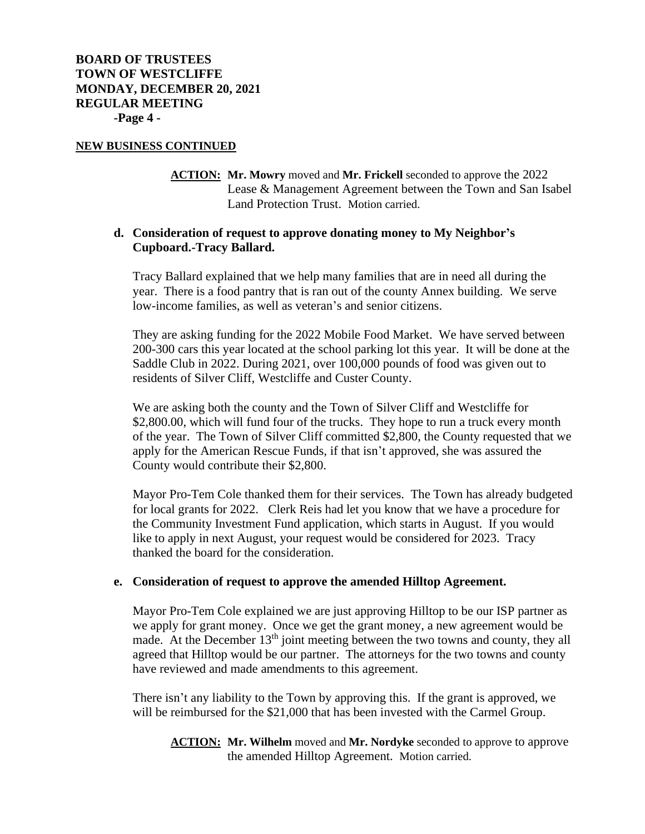### **NEW BUSINESS CONTINUED**

**ACTION: Mr. Mowry** moved and **Mr. Frickell** seconded to approve the 2022 Lease & Management Agreement between the Town and San Isabel Land Protection Trust. Motion carried.

## **d. Consideration of request to approve donating money to My Neighbor's Cupboard.-Tracy Ballard.**

Tracy Ballard explained that we help many families that are in need all during the year. There is a food pantry that is ran out of the county Annex building. We serve low-income families, as well as veteran's and senior citizens.

They are asking funding for the 2022 Mobile Food Market. We have served between 200-300 cars this year located at the school parking lot this year. It will be done at the Saddle Club in 2022. During 2021, over 100,000 pounds of food was given out to residents of Silver Cliff, Westcliffe and Custer County.

We are asking both the county and the Town of Silver Cliff and Westcliffe for \$2,800.00, which will fund four of the trucks. They hope to run a truck every month of the year. The Town of Silver Cliff committed \$2,800, the County requested that we apply for the American Rescue Funds, if that isn't approved, she was assured the County would contribute their \$2,800.

Mayor Pro-Tem Cole thanked them for their services. The Town has already budgeted for local grants for 2022. Clerk Reis had let you know that we have a procedure for the Community Investment Fund application, which starts in August. If you would like to apply in next August, your request would be considered for 2023. Tracy thanked the board for the consideration.

## **e. Consideration of request to approve the amended Hilltop Agreement.**

Mayor Pro-Tem Cole explained we are just approving Hilltop to be our ISP partner as we apply for grant money. Once we get the grant money, a new agreement would be made. At the December  $13<sup>th</sup>$  joint meeting between the two towns and county, they all agreed that Hilltop would be our partner. The attorneys for the two towns and county have reviewed and made amendments to this agreement.

There isn't any liability to the Town by approving this. If the grant is approved, we will be reimbursed for the \$21,000 that has been invested with the Carmel Group.

**ACTION: Mr. Wilhelm** moved and **Mr. Nordyke** seconded to approve to approve the amended Hilltop Agreement. Motion carried.